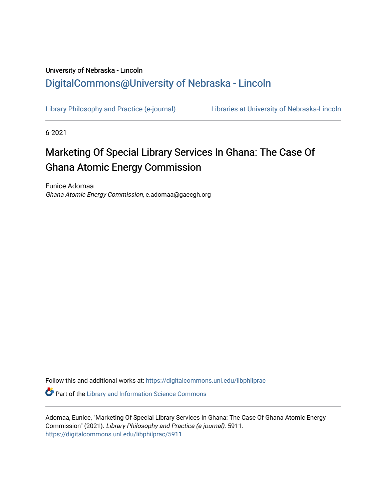## University of Nebraska - Lincoln [DigitalCommons@University of Nebraska - Lincoln](https://digitalcommons.unl.edu/)

[Library Philosophy and Practice \(e-journal\)](https://digitalcommons.unl.edu/libphilprac) [Libraries at University of Nebraska-Lincoln](https://digitalcommons.unl.edu/libraries) 

6-2021

# Marketing Of Special Library Services In Ghana: The Case Of Ghana Atomic Energy Commission

Eunice Adomaa Ghana Atomic Energy Commission, e.adomaa@gaecgh.org

Follow this and additional works at: [https://digitalcommons.unl.edu/libphilprac](https://digitalcommons.unl.edu/libphilprac?utm_source=digitalcommons.unl.edu%2Flibphilprac%2F5911&utm_medium=PDF&utm_campaign=PDFCoverPages) 

**C** Part of the Library and Information Science Commons

Adomaa, Eunice, "Marketing Of Special Library Services In Ghana: The Case Of Ghana Atomic Energy Commission" (2021). Library Philosophy and Practice (e-journal). 5911. [https://digitalcommons.unl.edu/libphilprac/5911](https://digitalcommons.unl.edu/libphilprac/5911?utm_source=digitalcommons.unl.edu%2Flibphilprac%2F5911&utm_medium=PDF&utm_campaign=PDFCoverPages)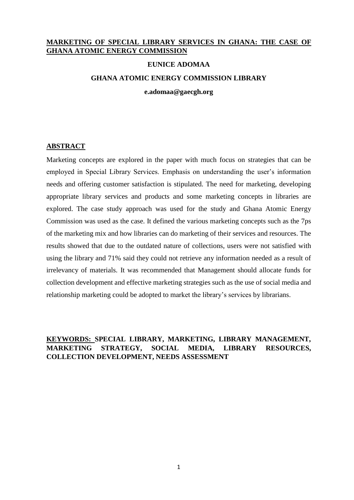## **MARKETING OF SPECIAL LIBRARY SERVICES IN GHANA: THE CASE OF GHANA ATOMIC ENERGY COMMISSION**

#### **EUNICE ADOMAA**

#### **GHANA ATOMIC ENERGY COMMISSION LIBRARY**

**e.adomaa@gaecgh.org**

#### **ABSTRACT**

Marketing concepts are explored in the paper with much focus on strategies that can be employed in Special Library Services. Emphasis on understanding the user's information needs and offering customer satisfaction is stipulated. The need for marketing, developing appropriate library services and products and some marketing concepts in libraries are explored. The case study approach was used for the study and Ghana Atomic Energy Commission was used as the case. It defined the various marketing concepts such as the 7ps of the marketing mix and how libraries can do marketing of their services and resources. The results showed that due to the outdated nature of collections, users were not satisfied with using the library and 71% said they could not retrieve any information needed as a result of irrelevancy of materials. It was recommended that Management should allocate funds for collection development and effective marketing strategies such as the use of social media and relationship marketing could be adopted to market the library's services by librarians.

## **KEYWORDS: SPECIAL LIBRARY, MARKETING, LIBRARY MANAGEMENT, MARKETING STRATEGY, SOCIAL MEDIA, LIBRARY RESOURCES, COLLECTION DEVELOPMENT, NEEDS ASSESSMENT**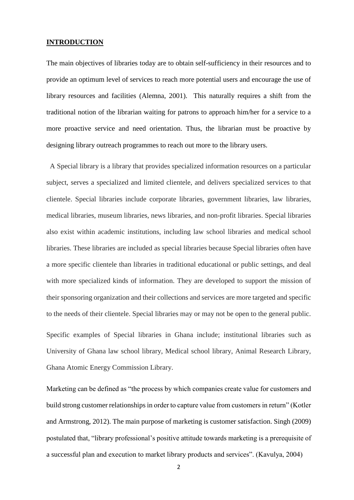#### **INTRODUCTION**

The main objectives of libraries today are to obtain self-sufficiency in their resources and to provide an optimum level of services to reach more potential users and encourage the use of library resources and facilities (Alemna, 2001). This naturally requires a shift from the traditional notion of the librarian waiting for patrons to approach him/her for a service to a more proactive service and need orientation. Thus, the librarian must be proactive by designing library outreach programmes to reach out more to the library users.

 A Special library is a library that provides specialized information resources on a particular subject, serves a specialized and limited clientele, and delivers specialized services to that clientele. Special libraries include corporate libraries, government libraries, law libraries, medical libraries, museum libraries, news libraries, and non-profit libraries. Special libraries also exist within academic institutions, including law school libraries and medical school libraries. These libraries are included as special libraries because Special libraries often have a more specific clientele than libraries in traditional educational or public settings, and deal with more specialized kinds of information. They are developed to support the mission of their sponsoring organization and their collections and services are more targeted and specific to the needs of their clientele. Special libraries may or may not be open to the general public. Specific examples of Special libraries in Ghana include; institutional libraries such as University of Ghana law school library, Medical school library, Animal Research Library, Ghana Atomic Energy Commission Library.

Marketing can be defined as "the process by which companies create value for customers and build strong customer relationships in order to capture value from customers in return" (Kotler and Armstrong, 2012). The main purpose of marketing is customer satisfaction. Singh (2009) postulated that, "library professional's positive attitude towards marketing is a prerequisite of a successful plan and execution to market library products and services". (Kavulya, 2004)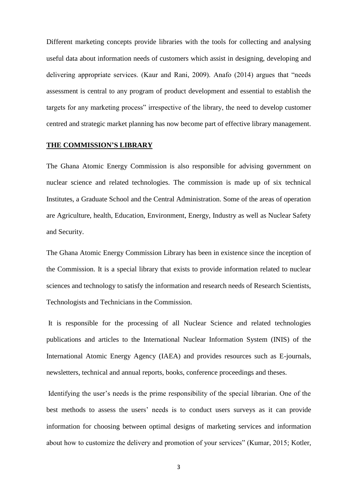Different marketing concepts provide libraries with the tools for collecting and analysing useful data about information needs of customers which assist in designing, developing and delivering appropriate services. (Kaur and Rani, 2009). Anafo (2014) argues that "needs assessment is central to any program of product development and essential to establish the targets for any marketing process" irrespective of the library, the need to develop customer centred and strategic market planning has now become part of effective library management.

#### **THE COMMISSION'S LIBRARY**

The Ghana Atomic Energy Commission is also responsible for advising government on nuclear science and related technologies. The commission is made up of six technical Institutes, a Graduate School and the Central Administration. Some of the areas of operation are Agriculture, health, Education, Environment, Energy, Industry as well as Nuclear Safety and Security.

The Ghana Atomic Energy Commission Library has been in existence since the inception of the Commission. It is a special library that exists to provide information related to nuclear sciences and technology to satisfy the information and research needs of Research Scientists, Technologists and Technicians in the Commission.

It is responsible for the processing of all Nuclear Science and related technologies publications and articles to the International Nuclear Information System (INIS) of the International Atomic Energy Agency (IAEA) and provides resources such as E-journals, newsletters, technical and annual reports, books, conference proceedings and theses.

Identifying the user's needs is the prime responsibility of the special librarian. One of the best methods to assess the users' needs is to conduct users surveys as it can provide information for choosing between optimal designs of marketing services and information about how to customize the delivery and promotion of your services" (Kumar, 2015; Kotler,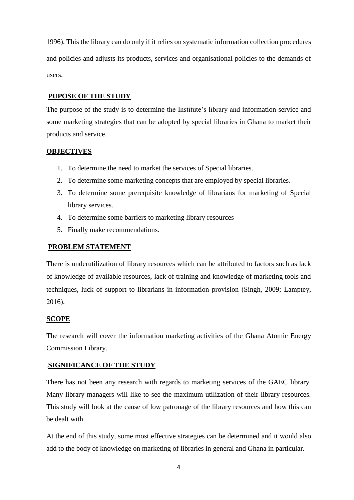1996). This the library can do only if it relies on systematic information collection procedures and policies and adjusts its products, services and organisational policies to the demands of users.

## **PUPOSE OF THE STUDY**

The purpose of the study is to determine the Institute's library and information service and some marketing strategies that can be adopted by special libraries in Ghana to market their products and service.

## **OBJECTIVES**

- 1. To determine the need to market the services of Special libraries.
- 2. To determine some marketing concepts that are employed by special libraries.
- 3. To determine some prerequisite knowledge of librarians for marketing of Special library services.
- 4. To determine some barriers to marketing library resources
- 5. Finally make recommendations.

## **PROBLEM STATEMENT**

There is underutilization of library resources which can be attributed to factors such as lack of knowledge of available resources, lack of training and knowledge of marketing tools and techniques, luck of support to librarians in information provision (Singh, 2009; Lamptey, 2016).

## **SCOPE**

The research will cover the information marketing activities of the Ghana Atomic Energy Commission Library.

## .**SIGNIFICANCE OF THE STUDY**

There has not been any research with regards to marketing services of the GAEC library. Many library managers will like to see the maximum utilization of their library resources. This study will look at the cause of low patronage of the library resources and how this can be dealt with.

At the end of this study, some most effective strategies can be determined and it would also add to the body of knowledge on marketing of libraries in general and Ghana in particular.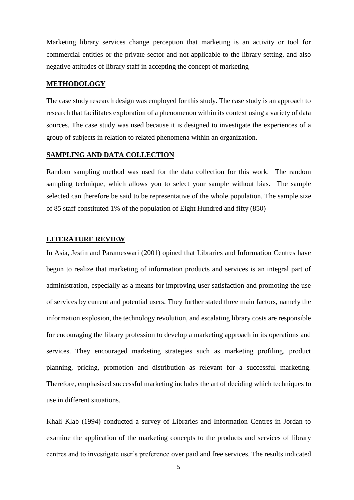Marketing library services change perception that marketing is an activity or tool for commercial entities or the private sector and not applicable to the library setting, and also negative attitudes of library staff in accepting the concept of marketing

#### **METHODOLOGY**

The case study research design was employed for this study. The case study is an approach to research that facilitates exploration of a phenomenon within its context using a variety of data sources. The case study was used because it is designed to investigate the experiences of a group of subjects in relation to related phenomena within an organization.

#### **SAMPLING AND DATA COLLECTION**

Random sampling method was used for the data collection for this work. The random sampling technique, which allows you to select your sample without bias. The sample selected can therefore be said to be representative of the whole population. The sample size of 85 staff constituted 1% of the population of Eight Hundred and fifty (850)

## **LITERATURE REVIEW**

In Asia, Jestin and Parameswari (2001) opined that Libraries and Information Centres have begun to realize that marketing of information products and services is an integral part of administration, especially as a means for improving user satisfaction and promoting the use of services by current and potential users. They further stated three main factors, namely the information explosion, the technology revolution, and escalating library costs are responsible for encouraging the library profession to develop a marketing approach in its operations and services. They encouraged marketing strategies such as marketing profiling, product planning, pricing, promotion and distribution as relevant for a successful marketing. Therefore, emphasised successful marketing includes the art of deciding which techniques to use in different situations.

Khali Klab (1994) conducted a survey of Libraries and Information Centres in Jordan to examine the application of the marketing concepts to the products and services of library centres and to investigate user's preference over paid and free services. The results indicated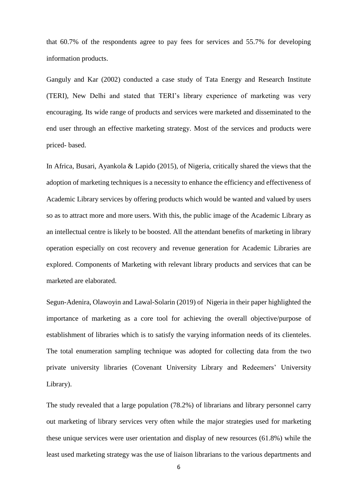that 60.7% of the respondents agree to pay fees for services and 55.7% for developing information products.

Ganguly and Kar (2002) conducted a case study of Tata Energy and Research Institute (TERI), New Delhi and stated that TERI's library experience of marketing was very encouraging. Its wide range of products and services were marketed and disseminated to the end user through an effective marketing strategy. Most of the services and products were priced- based.

In Africa, Busari, Ayankola & Lapido (2015), of Nigeria, critically shared the views that the adoption of marketing techniques is a necessity to enhance the efficiency and effectiveness of Academic Library services by offering products which would be wanted and valued by users so as to attract more and more users. With this, the public image of the Academic Library as an intellectual centre is likely to be boosted. All the attendant benefits of marketing in library operation especially on cost recovery and revenue generation for Academic Libraries are explored. Components of Marketing with relevant library products and services that can be marketed are elaborated.

Segun-Adenira, Olawoyin and Lawal-Solarin (2019) of Nigeria in their paper highlighted the importance of marketing as a core tool for achieving the overall objective/purpose of establishment of libraries which is to satisfy the varying information needs of its clienteles. The total enumeration sampling technique was adopted for collecting data from the two private university libraries (Covenant University Library and Redeemers' University Library).

The study revealed that a large population (78.2%) of librarians and library personnel carry out marketing of library services very often while the major strategies used for marketing these unique services were user orientation and display of new resources (61.8%) while the least used marketing strategy was the use of liaison librarians to the various departments and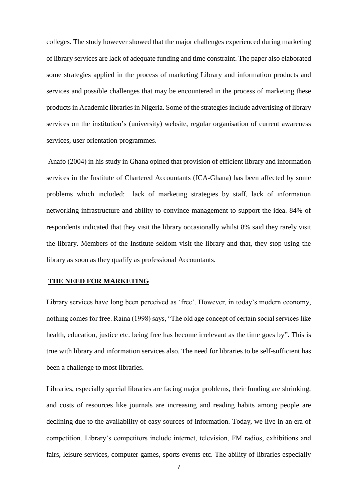colleges. The study however showed that the major challenges experienced during marketing of library services are lack of adequate funding and time constraint. The paper also elaborated some strategies applied in the process of marketing Library and information products and services and possible challenges that may be encountered in the process of marketing these products in Academic libraries in Nigeria. Some of the strategies include advertising of library services on the institution's (university) website, regular organisation of current awareness services, user orientation programmes.

Anafo (2004) in his study in Ghana opined that provision of efficient library and information services in the Institute of Chartered Accountants (ICA-Ghana) has been affected by some problems which included: lack of marketing strategies by staff, lack of information networking infrastructure and ability to convince management to support the idea. 84% of respondents indicated that they visit the library occasionally whilst 8% said they rarely visit the library. Members of the Institute seldom visit the library and that, they stop using the library as soon as they qualify as professional Accountants.

#### **THE NEED FOR MARKETING**

Library services have long been perceived as 'free'. However, in today's modern economy, nothing comes for free. Raina (1998) says, "The old age concept of certain social services like health, education, justice etc. being free has become irrelevant as the time goes by". This is true with library and information services also. The need for libraries to be self-sufficient has been a challenge to most libraries.

Libraries, especially special libraries are facing major problems, their funding are shrinking, and costs of resources like journals are increasing and reading habits among people are declining due to the availability of easy sources of information. Today, we live in an era of competition. Library's competitors include internet, television, FM radios, exhibitions and fairs, leisure services, computer games, sports events etc. The ability of libraries especially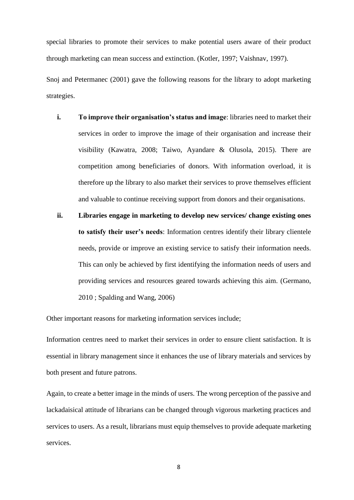special libraries to promote their services to make potential users aware of their product through marketing can mean success and extinction. (Kotler, 1997; Vaishnav, 1997).

Snoj and Petermanec (2001) gave the following reasons for the library to adopt marketing strategies.

- **i. To improve their organisation's status and image**: libraries need to market their services in order to improve the image of their organisation and increase their visibility (Kawatra, 2008; Taiwo, Ayandare & Olusola, 2015). There are competition among beneficiaries of donors. With information overload, it is therefore up the library to also market their services to prove themselves efficient and valuable to continue receiving support from donors and their organisations.
- **ii. Libraries engage in marketing to develop new services/ change existing ones to satisfy their user's needs**: Information centres identify their library clientele needs, provide or improve an existing service to satisfy their information needs. This can only be achieved by first identifying the information needs of users and providing services and resources geared towards achieving this aim. (Germano, 2010 ; Spalding and Wang, 2006)

Other important reasons for marketing information services include;

Information centres need to market their services in order to ensure client satisfaction. It is essential in library management since it enhances the use of library materials and services by both present and future patrons.

Again, to create a better image in the minds of users. The wrong perception of the passive and lackadaisical attitude of librarians can be changed through vigorous marketing practices and services to users. As a result, librarians must equip themselves to provide adequate marketing services.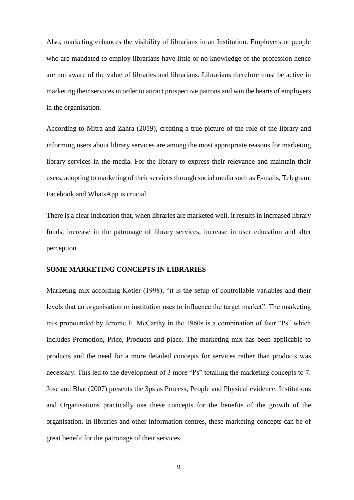Also, marketing enhances the visibility of librarians in an Institution. Employers or people who are mandated to employ librarians have little or no knowledge of the profession hence are not aware of the value of libraries and librarians. Librarians therefore must be active in marketing their services in order to attract prospective patrons and win the hearts of employers in the organisation.

According to Mitra and Zahra (2019), creating a true picture of the role of the library and informing users about library services are among the most appropriate reasons for marketing library services in the media. For the library to express their relevance and maintain their users, adopting to marketing of their services through social media such as E-mails, Telegram, Facebook and WhatsApp is crucial.

There is a clear indication that, when libraries are marketed well, it results in increased library funds, increase in the patronage of library services, increase in user education and alter perception.

#### **SOME MARKETING CONCEPTS IN LIBRARIES**

Marketing mix according Kotler (1998), "it is the setup of controllable variables and their levels that an organisation or institution uses to influence the target market". The marketing mix propounded by Jerome E. McCarthy in the 1960s is a combination of four "Ps" which includes Promotion, Price, Products and place. The marketing mix has been applicable to products and the need for a more detailed concepts for services rather than products was necessary. This led to the development of 3 more "Ps" totalling the marketing concepts to 7. Jose and Bhat (2007) presents the 3ps as Process, People and Physical evidence. Institutions and Organisations practically use these concepts for the benefits of the growth of the organisation. In libraries and other information centres, these marketing concepts can be of great benefit for the patronage of their services.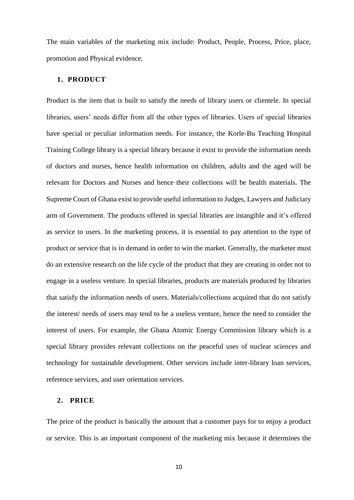The main variables of the marketing mix include: Product, People, Process, Price, place, promotion and Physical evidence.

## **1. PRODUCT**

Product is the item that is built to satisfy the needs of library users or clientele. In special libraries, users' needs differ from all the other types of libraries. Users of special libraries have special or peculiar information needs. For instance, the Korle-Bu Teaching Hospital Training College library is a special library because it exist to provide the information needs of doctors and nurses, hence health information on children, adults and the aged will be relevant for Doctors and Nurses and hence their collections will be health materials. The Supreme Court of Ghana exist to provide useful information to Judges, Lawyers and Judiciary arm of Government. The products offered in special libraries are intangible and it's offered as service to users. In the marketing process, it is essential to pay attention to the type of product or service that is in demand in order to win the market. Generally, the marketer must do an extensive research on the life cycle of the product that they are creating in order not to engage in a useless venture. In special libraries, products are materials produced by libraries that satisfy the information needs of users. Materials/collections acquired that do not satisfy the interest/ needs of users may tend to be a useless venture, hence the need to consider the interest of users. For example, the Ghana Atomic Energy Commission library which is a special library provides relevant collections on the peaceful uses of nuclear sciences and technology for sustainable development. Other services include inter-library loan services, reference services, and user orientation services.

## **2. PRICE**

The price of the product is basically the amount that a customer pays for to enjoy a product or service. This is an important component of the marketing mix because it determines the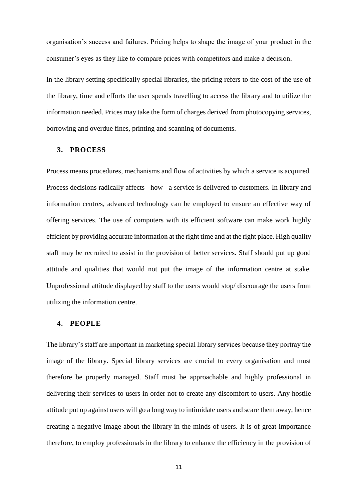organisation's success and failures. Pricing helps to shape the image of your product in the consumer's eyes as they like to compare prices with competitors and make a decision.

In the library setting specifically special libraries, the pricing refers to the cost of the use of the library, time and efforts the user spends travelling to access the library and to utilize the information needed. Prices may take the form of charges derived from photocopying services, borrowing and overdue fines, printing and scanning of documents.

#### **3. PROCESS**

Process means procedures, mechanisms and flow of activities by which a service is acquired. Process decisions radically affects how a service is delivered to customers. In library and information centres, advanced technology can be employed to ensure an effective way of offering services. The use of computers with its efficient software can make work highly efficient by providing accurate information at the right time and at the right place. High quality staff may be recruited to assist in the provision of better services. Staff should put up good attitude and qualities that would not put the image of the information centre at stake. Unprofessional attitude displayed by staff to the users would stop/ discourage the users from utilizing the information centre.

### **4. PEOPLE**

The library's staff are important in marketing special library services because they portray the image of the library. Special library services are crucial to every organisation and must therefore be properly managed. Staff must be approachable and highly professional in delivering their services to users in order not to create any discomfort to users. Any hostile attitude put up against users will go a long way to intimidate users and scare them away, hence creating a negative image about the library in the minds of users. It is of great importance therefore, to employ professionals in the library to enhance the efficiency in the provision of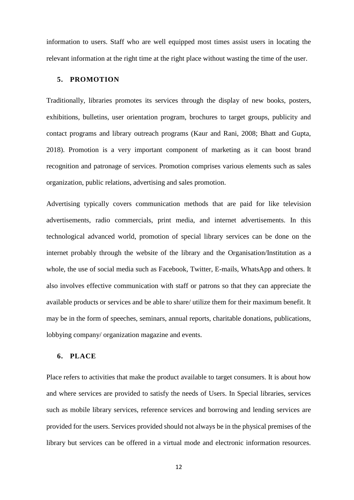information to users. Staff who are well equipped most times assist users in locating the relevant information at the right time at the right place without wasting the time of the user.

## **5. PROMOTION**

Traditionally, libraries promotes its services through the display of new books, posters, exhibitions, bulletins, user orientation program, brochures to target groups, publicity and contact programs and library outreach programs (Kaur and Rani, 2008; Bhatt and Gupta, 2018). Promotion is a very important component of marketing as it can boost brand recognition and patronage of services. Promotion comprises various elements such as sales organization, public relations, advertising and sales promotion.

Advertising typically covers communication methods that are paid for like television advertisements, radio commercials, print media, and internet advertisements. In this technological advanced world, promotion of special library services can be done on the internet probably through the website of the library and the Organisation/Institution as a whole, the use of social media such as Facebook, Twitter, E-mails, WhatsApp and others. It also involves effective communication with staff or patrons so that they can appreciate the available products or services and be able to share/ utilize them for their maximum benefit. It may be in the form of speeches, seminars, annual reports, charitable donations, publications, lobbying company/ organization magazine and events.

## **6. PLACE**

Place refers to activities that make the product available to target consumers. It is about how and where services are provided to satisfy the needs of Users. In Special libraries, services such as mobile library services, reference services and borrowing and lending services are provided for the users. Services provided should not always be in the physical premises of the library but services can be offered in a virtual mode and electronic information resources.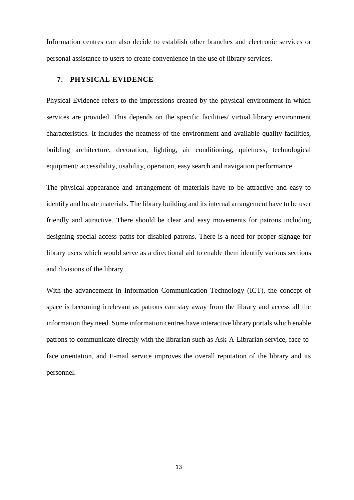Information centres can also decide to establish other branches and electronic services or personal assistance to users to create convenience in the use of library services.

## **7. PHYSICAL EVIDENCE**

Physical Evidence refers to the impressions created by the physical environment in which services are provided. This depends on the specific facilities/ virtual library environment characteristics. It includes the neatness of the environment and available quality facilities, building architecture, decoration, lighting, air conditioning, quietness, technological equipment/ accessibility, usability, operation, easy search and navigation performance.

The physical appearance and arrangement of materials have to be attractive and easy to identify and locate materials. The library building and its internal arrangement have to be user friendly and attractive. There should be clear and easy movements for patrons including designing special access paths for disabled patrons. There is a need for proper signage for library users which would serve as a directional aid to enable them identify various sections and divisions of the library.

With the advancement in Information Communication Technology (ICT), the concept of space is becoming irrelevant as patrons can stay away from the library and access all the information they need. Some information centres have interactive library portals which enable patrons to communicate directly with the librarian such as Ask-A-Librarian service, face-toface orientation, and E-mail service improves the overall reputation of the library and its personnel.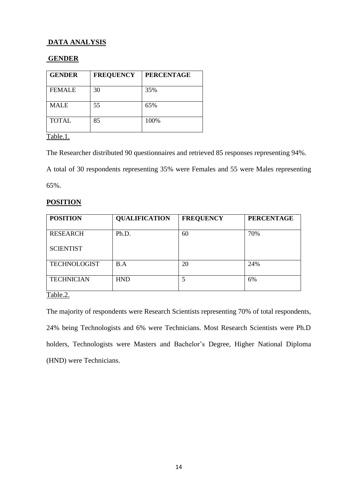## **DATA ANALYSIS**

## **GENDER**

| <b>GENDER</b> | <b>FREQUENCY</b> | <b>PERCENTAGE</b> |
|---------------|------------------|-------------------|
| <b>FEMALE</b> | 30               | 35%               |
| <b>MALE</b>   | 55               | 65%               |
| <b>TOTAL</b>  | 85               | 100%              |

Table.1.

The Researcher distributed 90 questionnaires and retrieved 85 responses representing 94%.

A total of 30 respondents representing 35% were Females and 55 were Males representing 65%.

## **POSITION**

| <b>POSITION</b>     | <b>QUALIFICATION</b> | <b>FREQUENCY</b> | <b>PERCENTAGE</b> |
|---------------------|----------------------|------------------|-------------------|
| <b>RESEARCH</b>     | Ph.D.                | 60               | 70%               |
| <b>SCIENTIST</b>    |                      |                  |                   |
| <b>TECHNOLOGIST</b> | B.A                  | 20               | 24%               |
| <b>TECHNICIAN</b>   | <b>HND</b>           | 5                | 6%                |

Table.2.

The majority of respondents were Research Scientists representing 70% of total respondents, 24% being Technologists and 6% were Technicians. Most Research Scientists were Ph.D holders, Technologists were Masters and Bachelor's Degree, Higher National Diploma (HND) were Technicians.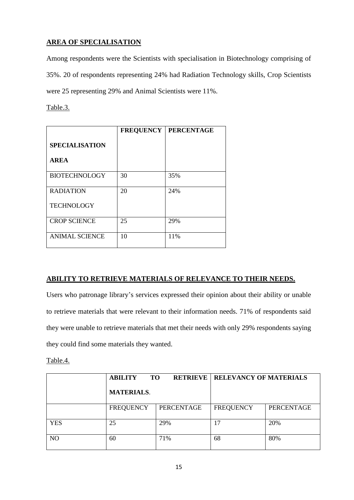## **AREA OF SPECIALISATION**

Among respondents were the Scientists with specialisation in Biotechnology comprising of 35%. 20 of respondents representing 24% had Radiation Technology skills, Crop Scientists were 25 representing 29% and Animal Scientists were 11%.

Table.3.

|                       | <b>FREQUENCY</b> | <b>PERCENTAGE</b> |
|-----------------------|------------------|-------------------|
| <b>SPECIALISATION</b> |                  |                   |
| <b>AREA</b>           |                  |                   |
| <b>BIOTECHNOLOGY</b>  | 30               | 35%               |
| <b>RADIATION</b>      | 20               | 24%               |
| <b>TECHNOLOGY</b>     |                  |                   |
| <b>CROP SCIENCE</b>   | 25               | 29%               |
| <b>ANIMAL SCIENCE</b> | 10               | 11%               |

## **ABILITY TO RETRIEVE MATERIALS OF RELEVANCE TO THEIR NEEDS.**

Users who patronage library's services expressed their opinion about their ability or unable to retrieve materials that were relevant to their information needs. 71% of respondents said they were unable to retrieve materials that met their needs with only 29% respondents saying they could find some materials they wanted.

Table.4.

|            | <b>ABILITY</b><br><b>TO</b> | <b>RETRIEVE</b> | <b>RELEVANCY OF MATERIALS</b> |            |  |
|------------|-----------------------------|-----------------|-------------------------------|------------|--|
|            | <b>MATERIALS.</b>           |                 |                               |            |  |
|            | <b>FREQUENCY</b>            | PERCENTAGE      | <b>FREQUENCY</b>              | PERCENTAGE |  |
| <b>YES</b> | 25                          | 29%             | 17                            | 20%        |  |
| NO.        | 60                          | 71%             | 68                            | 80%        |  |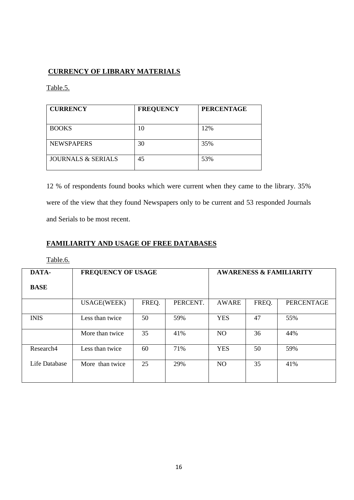## **CURRENCY OF LIBRARY MATERIALS**

Table.5.

| <b>CURRENCY</b>               | <b>FREQUENCY</b> | <b>PERCENTAGE</b> |  |  |
|-------------------------------|------------------|-------------------|--|--|
| <b>BOOKS</b>                  | 10               | 12%               |  |  |
| <b>NEWSPAPERS</b>             | 30               | 35%               |  |  |
| <b>JOURNALS &amp; SERIALS</b> | 45               | 53%               |  |  |

12 % of respondents found books which were current when they came to the library. 35% were of the view that they found Newspapers only to be current and 53 responded Journals and Serials to be most recent.

## **FAMILIARITY AND USAGE OF FREE DATABASES**

## Table.6.

| DATA-         | <b>FREQUENCY OF USAGE</b> |       |          | <b>AWARENESS &amp; FAMILIARITY</b> |       |                   |
|---------------|---------------------------|-------|----------|------------------------------------|-------|-------------------|
| <b>BASE</b>   |                           |       |          |                                    |       |                   |
|               | <b>USAGE(WEEK)</b>        | FREQ. | PERCENT. | AWARE                              | FREQ. | <b>PERCENTAGE</b> |
| <b>INIS</b>   | Less than twice           | 50    | 59%      | <b>YES</b>                         | 47    | 55%               |
|               | More than twice           | 35    | 41%      | N <sub>O</sub>                     | 36    | 44%               |
| Research4     | Less than twice           | 60    | 71%      | <b>YES</b>                         | 50    | 59%               |
| Life Database | More than twice           | 25    | 29%      | NO                                 | 35    | 41%               |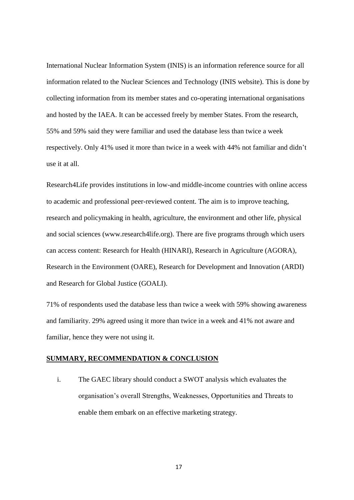International Nuclear Information System (INIS) is an information reference source for all information related to the Nuclear Sciences and Technology (INIS website). This is done by collecting information from its member states and co-operating international organisations and hosted by the IAEA. It can be accessed freely by member States. From the research, 55% and 59% said they were familiar and used the database less than twice a week respectively. Only 41% used it more than twice in a week with 44% not familiar and didn't use it at all.

Research4Life provides institutions in low-and middle-income countries with online access to academic and professional peer-reviewed content. The aim is to improve teaching, research and policymaking in health, agriculture, the environment and other life, physical and social sciences [\(www.research4life.org\)](http://www.research4life.org/). There are five [programs](https://www.research4life.org/about/programs/) through which users can access content: Research for Health (HINARI), Research in Agriculture (AGORA), Research in the Environment (OARE), Research for Development and Innovation (ARDI) and Research for Global Justice (GOALI).

71% of respondents used the database less than twice a week with 59% showing awareness and familiarity. 29% agreed using it more than twice in a week and 41% not aware and familiar, hence they were not using it.

#### **SUMMARY, RECOMMENDATION & CONCLUSION**

i. The GAEC library should conduct a SWOT analysis which evaluates the organisation's overall Strengths, Weaknesses, Opportunities and Threats to enable them embark on an effective marketing strategy.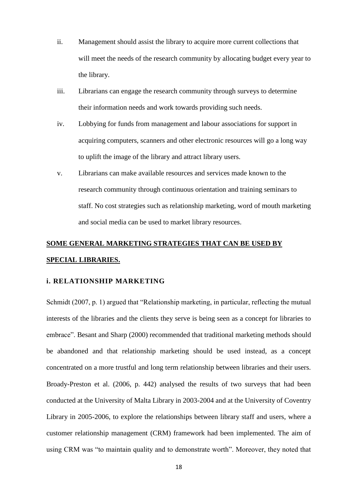- ii. Management should assist the library to acquire more current collections that will meet the needs of the research community by allocating budget every year to the library.
- iii. Librarians can engage the research community through surveys to determine their information needs and work towards providing such needs.
- iv. Lobbying for funds from management and labour associations for support in acquiring computers, scanners and other electronic resources will go a long way to uplift the image of the library and attract library users.
- v. Librarians can make available resources and services made known to the research community through continuous orientation and training seminars to staff. No cost strategies such as relationship marketing, word of mouth marketing and social media can be used to market library resources.

# **SOME GENERAL MARKETING STRATEGIES THAT CAN BE USED BY SPECIAL LIBRARIES.**

## **i. RELATIONSHIP MARKETING**

Schmidt (2007, p. 1) argued that "Relationship marketing, in particular, reflecting the mutual interests of the libraries and the clients they serve is being seen as a concept for libraries to embrace". Besant and Sharp (2000) recommended that traditional marketing methods should be abandoned and that relationship marketing should be used instead, as a concept concentrated on a more trustful and long term relationship between libraries and their users. Broady-Preston et al. (2006, p. 442) analysed the results of two surveys that had been conducted at the University of Malta Library in 2003-2004 and at the University of Coventry Library in 2005-2006, to explore the relationships between library staff and users, where a customer relationship management (CRM) framework had been implemented. The aim of using CRM was "to maintain quality and to demonstrate worth". Moreover, they noted that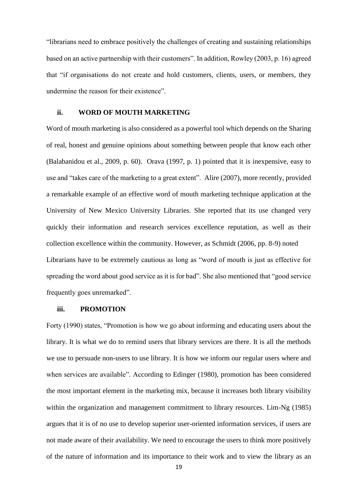"librarians need to embrace positively the challenges of creating and sustaining relationships based on an active partnership with their customers". In addition, Rowley (2003, p. 16) agreed that "if organisations do not create and hold customers, clients, users, or members, they undermine the reason for their existence".

#### **ii. WORD OF MOUTH MARKETING**

Word of mouth marketing is also considered as a powerful tool which depends on the Sharing of real, honest and genuine opinions about something between people that know each other (Balabanidou et al., 2009, p. 60). Orava (1997, p. 1) pointed that it is inexpensive, easy to use and "takes care of the marketing to a great extent". Alire (2007), more recently, provided a remarkable example of an effective word of mouth marketing technique application at the University of New Mexico University Libraries. She reported that its use changed very quickly their information and research services excellence reputation, as well as their collection excellence within the community. However, as Schmidt (2006, pp. 8-9) noted Librarians have to be extremely cautious as long as "word of mouth is just as effective for spreading the word about good service as it is for bad". She also mentioned that "good service frequently goes unremarked".

## **iii. PROMOTION**

Forty (1990) states, "Promotion is how we go about informing and educating users about the library. It is what we do to remind users that library services are there. It is all the methods we use to persuade non-users to use library. It is how we inform our regular users where and when services are available". According to Edinger (1980), promotion has been considered the most important element in the marketing mix, because it increases both library visibility within the organization and management commitment to library resources. Lim-Ng (1985) argues that it is of no use to develop superior user-oriented information services, if users are not made aware of their availability. We need to encourage the users to think more positively of the nature of information and its importance to their work and to view the library as an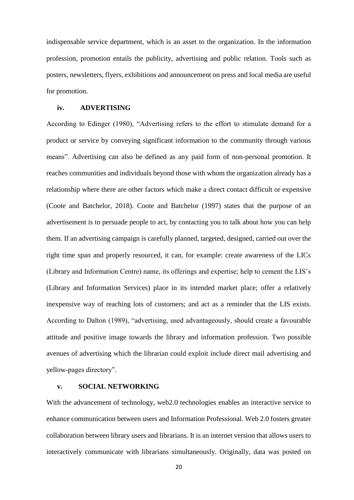indispensable service department, which is an asset to the organization. In the information profession, promotion entails the publicity, advertising and public relation. Tools such as posters, newsletters, flyers, exhibitions and announcement on press and local media are useful for promotion.

#### **iv. ADVERTISING**

According to Edinger (1980), "Advertising refers to the effort to stimulate demand for a product or service by conveying significant information to the community through various means". Advertising can also be defined as any paid form of non-personal promotion. It reaches communities and individuals beyond those with whom the organization already has a relationship where there are other factors which make a direct contact difficult or expensive (Coote and Batchelor, 2018). Coote and Batchelor (1997) states that the purpose of an advertisement is to persuade people to act, by contacting you to talk about how you can help them. If an advertising campaign is carefully planned, targeted, designed, carried out over the right time span and properly resourced, it can, for example: create awareness of the LICs (Library and Information Centre) name, its offerings and expertise; help to cement the LIS's (Library and Information Services) place in its intended market place; offer a relatively inexpensive way of reaching lots of customers; and act as a reminder that the LIS exists. According to Dalton (1989), "advertising, used advantageously, should create a favourable attitude and positive image towards the library and information profession. Two possible avenues of advertising which the librarian could exploit include direct mail advertising and yellow-pages directory".

### **v. SOCIAL NETWORKING**

With the advancement of technology, web2.0 technologies enables an interactive service to enhance communication between users and Information Professional. Web 2.0 fosters greater collaboration between library users and librarians. It is an internet version that allows users to interactively communicate with librarians simultaneously. Originally, data was posted on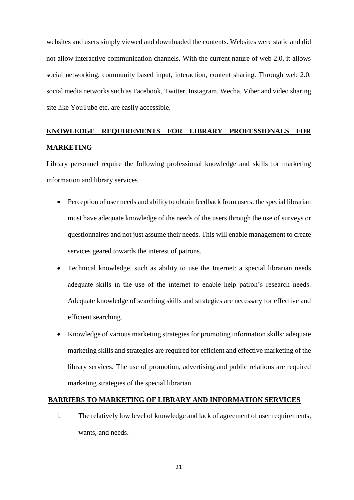websites and users simply viewed and downloaded the contents. Websites were static and did not allow interactive communication channels. With the current nature of web 2.0, it allows social networking, community based input, interaction, content sharing. Through web 2.0, social media networks such as Facebook, Twitter, Instagram, Wecha, Viber and video sharing site like YouTube etc. are easily accessible.

## **KNOWLEDGE REQUIREMENTS FOR LIBRARY PROFESSIONALS FOR MARKETING**

Library personnel require the following professional knowledge and skills for marketing information and library services

- Perception of user needs and ability to obtain feedback from users: the special librarian must have adequate knowledge of the needs of the users through the use of surveys or questionnaires and not just assume their needs. This will enable management to create services geared towards the interest of patrons.
- Technical knowledge, such as ability to use the Internet: a special librarian needs adequate skills in the use of the internet to enable help patron's research needs. Adequate knowledge of searching skills and strategies are necessary for effective and efficient searching.
- Knowledge of various marketing strategies for promoting information skills: adequate marketing skills and strategies are required for efficient and effective marketing of the library services. The use of promotion, advertising and public relations are required marketing strategies of the special librarian.

## **BARRIERS TO MARKETING OF LIBRARY AND INFORMATION SERVICES**

i. The relatively low level of knowledge and lack of agreement of user requirements, wants, and needs.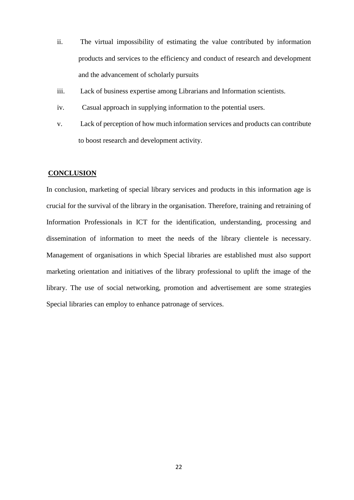- ii. The virtual impossibility of estimating the value contributed by information products and services to the efficiency and conduct of research and development and the advancement of scholarly pursuits
- iii. Lack of business expertise among Librarians and Information scientists.
- iv. Casual approach in supplying information to the potential users.
- v. Lack of perception of how much information services and products can contribute to boost research and development activity.

#### **CONCLUSION**

In conclusion, marketing of special library services and products in this information age is crucial for the survival of the library in the organisation. Therefore, training and retraining of Information Professionals in ICT for the identification, understanding, processing and dissemination of information to meet the needs of the library clientele is necessary. Management of organisations in which Special libraries are established must also support marketing orientation and initiatives of the library professional to uplift the image of the library. The use of social networking, promotion and advertisement are some strategies Special libraries can employ to enhance patronage of services.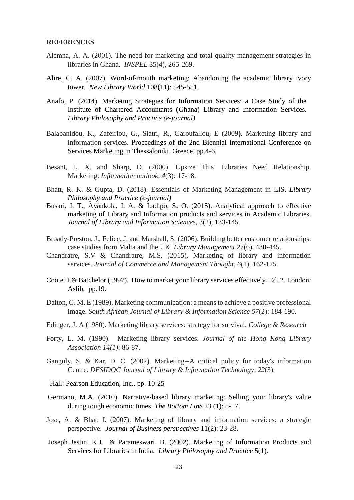## **REFERENCES**

- Alemna, A. A. (2001). The need for marketing and total quality management strategies in libraries in Ghana. *INSPEL* 35(4), 265-269.
- Alire, C. A. (2007). Word‐of‐mouth marketing: Abandoning the academic library ivory tower. *New Library World* 108(11): 545-551.
- Anafo, P. (2014). Marketing Strategies for Information Services: a Case Study of the Institute of Chartered Accountants (Ghana) Library and Information Services. *Library Philosophy and Practice (e-journal)*
- Balabanidou, K., Zafeiriou, G., Siatri, R., Garoufallou, E (2009**).** Marketing library and information services. Proceedings of the 2nd Biennial International Conference on Services Marketing in Thessaloniki, Greece, pp.4-6.
- Besant, L. X. and Sharp, D. (2000). Upsize This! Libraries Need Relationship. Marketing. *Information outlook, 4*(3): 17-18.
- Bhatt, R. K. & Gupta, D. (2018). Essentials of Marketing [Management](https://digitalcommons.unl.edu/cgi/viewcontent.cgi?article=5345&context=libphilprac) in LIS. *Library Philosophy and Practice (e-journal)*
- Busari, I. T., Ayankola, I. A. & Ladipo, S. O. (2015). Analytical approach to effective marketing of Library and Information products and services in Academic Libraries. *Journal of Library and Information Sciences,* 3(2), 133-145*.*
- Broady‐Preston, J., Felice, J. and Marshall, S. (2006). Building better customer relationships: case studies from Malta and the UK. *Library Management* 27(6), 430-445.
- Chandratre, S.V & Chandratre, M.S. (2015). Marketing of library and information services. *Journal of Commerce and Management Thought*, *6*(1), 162-175.
- Coote H & Batchelor (1997). How to market your library services effectively. Ed. 2. London: Aslib, pp.19.
- Dalton, G. M. E (1989). Marketing communication: a means to achieve a positive professional image. *South African Journal of Library & Information Science 57*(2): 184-190.
- Edinger, J. A (1980). Marketing library services: strategy for survival. *College & Research*
- Forty, L. M. (1990). Marketing library services. *Journal of the Hong Kong Library Association 14(1)*: 86-87.
- Ganguly. S. & Kar, D. C. (2002). Marketing--A critical policy for today's information Centre. *DESIDOC Journal of Library & Information Technology*, *22*(3).
- Hall: Pearson Education, Inc., pp. 10-25
- [Germano, M.A.](https://www.emerald.com/insight/search?q=Michael%20A.%20Germano) (2010). Narrative‐based library marketing: Selling your library's value during tough economic times. *[The Bottom Line](https://www.emerald.com/insight/publication/issn/0888-045X)* 23 (1): 5-17.
- Jose, A. & Bhat, I. (2007). Marketing of library and information services: a strategic perspective. *Journal of Business perspectives* 11(2): 23-28.
- Joseph Jestin, K.J. & Parameswari, B. (2002). Marketing of Information Products and Services for Libraries in India*. Library Philosophy and Practice* 5(1).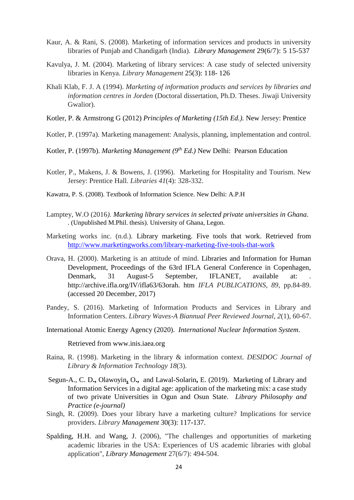- Kaur, A. & Rani, S. (2008). Marketing of information services and products in university libraries of Punjab and Chandigarh (India). *Library Management* 29(6/7): 5 15-537
- Kavulya, J. M. (2004). Marketing of library services: A case study of selected university libraries in Kenya. *Library Management* 25(3): 118- 126
- Khali Klab, F. J. A (1994). *Marketing of information products and services by libraries and information centres in Jorden* (Doctoral dissertation, Ph.D. Theses. Jiwaji University Gwalior).
- Kotler, P. & Armstrong G (2012) *Principles of Marketing (15th Ed.).* New Jersey: Prentice
- Kotler, P. (1997a). Marketing management: Analysis, planning, implementation and control.
- Kotler, P. (1997b). *Marketing Management (9th Ed.)* New Delhi: Pearson Education
- Kotler, P., Makens, J. & Bowens, J. (1996). Marketing for Hospitality and Tourism. New Jersey: Prentice Hall. *Libraries 41*(4): 328-332.
- Kawatra, P. S. (2008). Textbook of Information Science. New Delhi: A.P.H
- Lamptey, W.O (2016*). Marketing library services in selected private universities in Ghana.*  . (Unpublished M.Phil. thesis). University of Ghana, Legon.
- Marketing works inc. (n.d.). Library marketing. Five tools that work. Retrieved from <http://www.marketingworks.com/library-marketing-five-tools-that-work>
- Orava, H. (2000). Marketing is an attitude of mind. Libraries and Information for Human Development, Proceedings of the 63rd IFLA General Conference in Copenhagen, Denmark, 31 August-5 September, IFLANET, available at: http://archive.ifla.org/IV/ifla63/63orah. htm *IFLA PUBLICATIONS*, *89,* pp.84-89. (accessed 20 December, 2017)
- Pandey, S. (2016). Marketing of Information Products and Services in Library and Information Centers. *Library Waves-A Biannual Peer Reviewed Journal*, *2*(1), 60-67.
- International Atomic Energy Agency (2020). *International Nuclear Information System*.

Retrieved from www.inis.iaea.org

- Raina, R. (1998). Marketing in the library & information context. *DESIDOC Journal of Library & Information Technology 18*(3).
- [Segun-A.,](https://digitalcommons.unl.edu/do/search/?q=author_lname%3A%22SEGUN-ADENIRAN%22%20author_fname%3A%22CHIDI%22&start=0&context=52045) C. D**.,** [Olawoyin](https://digitalcommons.unl.edu/do/search/?q=author_lname%3A%22OLAWOYIN%22%20author_fname%3A%22OLAJUMOKE%22&start=0&context=52045)**,** O**.,** and [Lawal-Solarin](https://digitalcommons.unl.edu/do/search/?q=author_lname%3A%22LAWAL-SOLARIN%22%20author_fname%3A%22ESTHER%22&start=0&context=52045)**,** E. (2019). [Marketing](https://digitalcommons.unl.edu/cgi/viewcontent.cgi?article=6234&context=libphilprac) of Library and [Information](https://digitalcommons.unl.edu/cgi/viewcontent.cgi?article=6234&context=libphilprac) Services in a digital age: application of the marketing mix: a case study of two private [Universities](https://digitalcommons.unl.edu/cgi/viewcontent.cgi?article=6234&context=libphilprac) in Ogun and Osun State. *Library Philosophy and Practice (e-journal)*
- Singh, R. (2009). Does your library have a marketing culture? Implications for service providers. *Library Management* 30(3): 117-137.
- [Spalding, H.H.](https://www.emerald.com/insight/search?q=Helen%20H.%20Spalding) and [Wang, J.](https://www.emerald.com/insight/search?q=Jian%20Wang) (2006), "The challenges and opportunities of marketing academic libraries in the USA: Experiences of US academic libraries with global application", *[Library Management](https://www.emerald.com/insight/publication/issn/0143-5124)* 27(6/7): 494-504.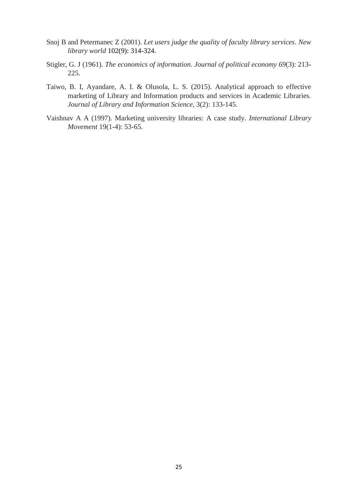- Snoj B and Petermanec Z (2001). *Let users judge the quality of faculty library services*. *New library world* 102(9): 314-324.
- Stigler, G. J (1961). *The economics of information*. *Journal of political economy 69*(3): 213- 225.
- Taiwo, B. I, Ayandare, A. I. & Olusola, L. S. (2015). Analytical approach to effective marketing of Library and Information products and services in Academic Libraries. *Journal of Library and Information Science*, 3(2): 133-145.
- Vaishnav A A (1997). Marketing university libraries: A case study. *International Library Movement* 19(1-4): 53-65.